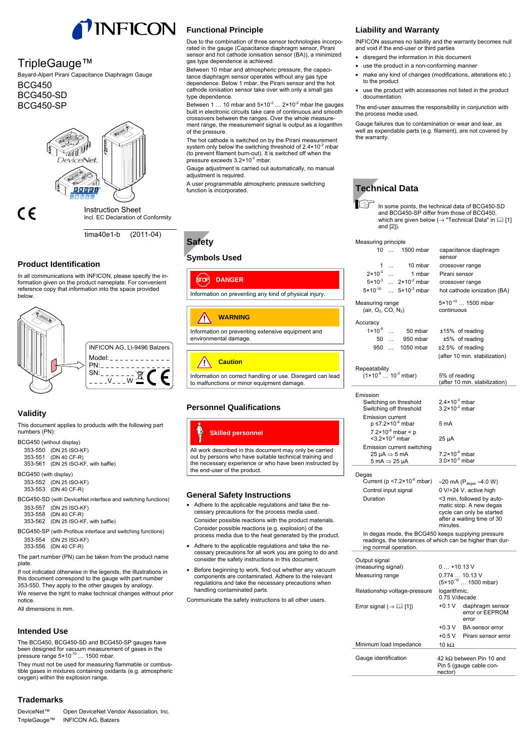

## TripleGauge™

Bayard-Alpert Pirani Capacitance Diaphragm Gauge BCG450 BCG450-SD BCG450-SP



( F

Instruction Sheet Incl. EC Declaration of Conformity

tima40e1-b (2011-04)

## **Product Identification**

In all communications with INFICON, please specify the information given on the product nameplate. For convenient reference copy that information into the space provided below.



## **Validity**

This document applies to products with the following part numbers (PN):

BCG450 (without display)

353-550 (DN 25 ISO-KF) 353-551 (DN 40 CF-R) 353-561 (DN 25 ISO-KF, with baffle)

BCG450 (with display)

353-552 (DN 25 ISO-KF) 353-553 (DN 40 CF-R)

- BCG450-SD (with DeviceNet interface and switching functions)
- 353-557 (DN 25 ISO-KF) 353-558 (DN 40 CF-R) 353-562 (DN 25 ISO-KF, with baffle)
- BCG450-SP (with Profibus interface and switching functions) 353-554 (DN 25 ISO-KF) 353-556 (DN 40 CF-R)

The part number (PN) can be taken from the product name plate.

If not indicated otherwise in the legends, the illustrations in this document correspond to the gauge with part number 353-550. They apply to the other gauges by analogy.

We reserve the right to make technical changes without prior notice.

All dimensions in mm.

## **Intended Use**

The BCG450, BCG450-SD and BCG450-SP gauges have been designed for vacuum measurement of gases in the pressure range 5×10<sup>-10</sup> ... 1500 mbar.

They must not be used for measuring flammable or combustible gases in mixtures containing oxidants (e.g. atmospheric oxygen) within the explosion range.

## **Trademarks**

DeviceNet™ Open DeviceNet Vendor Association, Inc. TripleGauge™ INFICON AG, Balzers

Due to the combination of three sensor technologies incorporated in the gauge (Capacitance diaphragm sensor, Pirani sensor and hot cathode ionisation sensor (BA)), a minimized gas type dependence is achieved.

Between 10 mbar and atmospheric pressure, the capacitance diaphragm sensor operates without any gas type dependence. Below 1 mbar, the Pirani sensor and the hot cathode ionisation sensor take over with only a small gas type dependence.

Between 1 ... 10 mbar and  $5 \times 10^{-3}$  ...  $2 \times 10^{-2}$  mbar the gauges built in electronic circuits take care of continuous and smooth crossovers between the ranges. Over the whole measurement range, the measurement signal is output as a logarithm of the pressure.

The hot cathode is switched on by the Pirani measurement system only below the switching threshold of  $2.4 \times 10^{-2}$  mbar (to prevent filament burn-out). It is switched off when the pressure exceeds  $3.2 \times 10^{-2}$  mbar.

Gauge adjustment is carried out automatically, no manual adjustment is required.

A user programmable atmospheric pressure switching function is incorporated.



## **Symbols Used**

ளு **DANGER** Information on preventing any kind of physical injury.

### **WARNING**  $\sqrt{N}$

Information on preventing extensive equipment and environmental damage.

### 71 **Caution**

Information on correct handling or use. Disregard can lead to malfunctions or minor equipment damage.

## **Personnel Qualifications**

**Skilled personnel**

All work described in this document may only be carried out by persons who have suitable technical training and the necessary experience or who have been instructed by the end-user of the product.

## **General Safety Instructions**

- Adhere to the applicable regulations and take the necessary precautions for the process media used. Consider possible reactions with the product materials. Consider possible reactions (e.g. explosion) of the process media due to the heat generated by the product.
- Adhere to the applicable regulations and take the necessary precautions for all work you are going to do and consider the safety instructions in this document.
- Before beginning to work, find out whether any vacuum components are contaminated. Adhere to the relevant regulations and take the necessary precautions when handling contaminated parts.

Communicate the safety instructions to all other users.

### **Liability and Warranty**

INFICON assumes no liability and the warranty becomes null and void if the end-user or third parties

- disregard the information in this document
- use the product in a non-conforming manner
- make any kind of changes (modifications, alterations etc.) to the product
- use the product with accessories not listed in the product documentation.

The end-user assumes the responsibility in conjunction with the process media used.

Gauge failures due to contamination or wear and tear, as well as expendable parts (e.g. filament), are not covered by the warranty.



 In some points, the technical data of BCG450-SD and BCG450-SP differ from those of BCG450, which are given below  $(\rightarrow$  "Technical Data" in  $\Box$  [1] and [2]).

### Measuring principle

| Measuring principle                                                                      |              |                                                   |                                                        |  |  |  |  |
|------------------------------------------------------------------------------------------|--------------|---------------------------------------------------|--------------------------------------------------------|--|--|--|--|
|                                                                                          |              | 10  1500 mbar                                     | capacitance diaphragm<br>sensor                        |  |  |  |  |
|                                                                                          | 1            | 10 mbar                                           | crossover range                                        |  |  |  |  |
| $2 \times 10^{-2}$                                                                       |              | $\ldots$ 1 mbar                                   | Pirani sensor                                          |  |  |  |  |
| $5 \times 10^{-3}$                                                                       |              | $\ldots$ 2×10 <sup>-2</sup> mbar                  | crossover range                                        |  |  |  |  |
| $5 \times 10^{-10}$                                                                      |              | $5 \times 10^{-3}$ mbar                           | hot cathode ionization (BA)                            |  |  |  |  |
| Measuring range<br>(air, $O_2$ , CO, $N_2$ )                                             |              |                                                   | 5×10 <sup>-10</sup> 1500 mbar<br>continuous            |  |  |  |  |
| Accuracy                                                                                 |              |                                                   |                                                        |  |  |  |  |
| $1 \times 10^{-8}$                                                                       | $\ddotsc$    | 50 mbar                                           | ±15% of reading                                        |  |  |  |  |
| 50                                                                                       | $\mathbf{r}$ | 950 mbar                                          | ±5% of reading                                         |  |  |  |  |
| 950                                                                                      |              | 1050 mbar                                         | $±2.5%$ of reading                                     |  |  |  |  |
|                                                                                          |              |                                                   | (after 10 min. stabilization)                          |  |  |  |  |
| Repeatability<br>$(1 \times 10^{-8} \dots 10^{-2} \text{ mbar})$                         |              |                                                   | 5% of reading<br>(after 10 min. stabilization)         |  |  |  |  |
| Emission<br>Emission current                                                             |              | Switching on threshold<br>Switching off threshold | $2.4 \times 10^{-2}$ mbar<br>$3.2 \times 10^{-2}$ mbar |  |  |  |  |
|                                                                                          |              | p ≤7.2×10 <sup>-6</sup> mbar                      | 5 <sub>m</sub> A                                       |  |  |  |  |
| $<$ 3.2 $\times$ 10 <sup>-2</sup> mbar                                                   |              | $7.2 \times 10^{-6}$ mbar < p                     | $25 \mu A$                                             |  |  |  |  |
| $25 \mu A \Rightarrow 5 \text{ mA}$<br>$5 \text{ mA} \Rightarrow 25 \text{ }\mu\text{A}$ |              | Emission current switching                        | $7.2 \times 10^{-6}$ mbar<br>$3.0 \times 10^{-5}$ mbar |  |  |  |  |
| Degas                                                                                    |              | Current ( $p < 7.2 \times 10^{-6}$ mbar)          | $\approx$ 20 mA (P <sub>degas</sub> $\approx$ 4.0 W)   |  |  |  |  |
| Control input signal                                                                     |              |                                                   | 0 V/+24 V, active high                                 |  |  |  |  |
| Duration                                                                                 |              |                                                   | <3 min, followed by auto-                              |  |  |  |  |
|                                                                                          |              |                                                   | matic stop. A new degas<br>cycle can only be started   |  |  |  |  |

In degas mode, the BCG450 keeps supplying pressure readings, the tolerances of which can be higher than during normal operation.

minutes.

after a waiting time of 30

| Output signal<br>(measuring signal)    | $0+10.13$ V                                                            |                                              |  |  |  |  |  |
|----------------------------------------|------------------------------------------------------------------------|----------------------------------------------|--|--|--|--|--|
| Measuring range                        | $0.77410.13$ V<br>$(5 \times 10^{-10} \dots 1500$ mbar)                |                                              |  |  |  |  |  |
| Relationship voltage-pressure          | logarithmic,<br>0.75 V/decade                                          |                                              |  |  |  |  |  |
| Error signal ( $\rightarrow \Box$ [1]) | $+0.1 V$                                                               | diaphragm sensor<br>error or EEPROM<br>error |  |  |  |  |  |
|                                        | $+0.3 V$                                                               | <b>BA</b> sensor error                       |  |  |  |  |  |
|                                        | $+0.5V$                                                                | Pirani sensor error                          |  |  |  |  |  |
| Minimum load impedance                 | 10 k $\Omega$                                                          |                                              |  |  |  |  |  |
| Gauge identification                   | 42 k $\Omega$ between Pin 10 and<br>Pin 5 (gauge cable con-<br>nector) |                                              |  |  |  |  |  |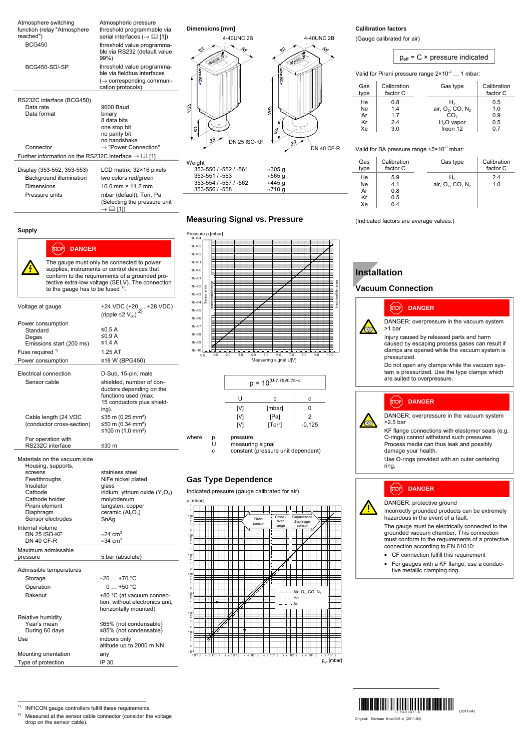| Atmosphere switching<br>function (relay "Atmosphere<br>reached")<br><b>BCG450</b>                | Atmospheric pressure<br>threshold programmable via<br>serial interfaces ( $\rightarrow$ [1] [1])<br>threshold value programma- | Dimensions [mm]<br>4-40UNC 2B                             |                                              | 4-40UNC 2B        |                            | <b>Calibration factors</b><br>(Gauge calibrated for air) |                                                                                                          |  |
|--------------------------------------------------------------------------------------------------|--------------------------------------------------------------------------------------------------------------------------------|-----------------------------------------------------------|----------------------------------------------|-------------------|----------------------------|----------------------------------------------------------|----------------------------------------------------------------------------------------------------------|--|
|                                                                                                  | ble via RS232 (default value<br>99%)                                                                                           |                                                           |                                              |                   |                            |                                                          | $p_{\text{eff}}$ = C × pressure indicated                                                                |  |
| BCG450-SD/-SP                                                                                    | threshold value programma-<br>ble via fieldbus interfaces<br>$\leftrightarrow$ corresponding communi-                          |                                                           |                                              |                   |                            |                                                          | Valid for Pirani pressure range $2 \times 10^{-2}$ 1 mbar:                                               |  |
|                                                                                                  | cation protocols).                                                                                                             |                                                           |                                              |                   | Gas<br>type                | Calibration<br>factor C                                  | Gas type                                                                                                 |  |
| RS232C interface (BCG450)<br>Data rate<br>Data format                                            | 9600 Baud<br>binary<br>8 data bits<br>one stop bit<br>no parity bit<br>no handshake                                            | S<br>DN 25 ISO-KF                                         | 3                                            |                   | He<br>Ne<br>Ar<br>Kr<br>Xe | 0.8<br>1.4<br>1.7<br>2.4<br>3.0                          | H <sub>2</sub><br>air, O <sub>2</sub> , CO, N <sub>2</sub><br>CO <sub>2</sub><br>$H2O$ vapor<br>freon 12 |  |
| Connector                                                                                        | $\rightarrow$ "Power Connection"                                                                                               |                                                           |                                              | <b>DN 40 CF-R</b> |                            |                                                          | Valid for BA pressure range $\leq 5 \times 10^{-3}$ mbar:                                                |  |
| Further information on the RS232C interface $\rightarrow \Box$ [1]<br>Display (353-552, 353-553) | LCD matrix, $32 \times 16$ pixels                                                                                              | Weight<br>353-550 / -552 / -561                           | $\approx$ 305 q                              |                   | Gas<br>type                | Calibration<br>factor C                                  | Gas type                                                                                                 |  |
| Background illumination<br>Dimensions                                                            | two colors red/green<br>16.0 mm × 11.2 mm                                                                                      | 353-551 / -553<br>353-554 / -557 / -562<br>353-556 / -558 | $\approx$ 565 g<br>≈445 q<br>$\approx$ 710 g |                   | He<br>Ne<br>Ar             | 5.9<br>4.1<br>0.8                                        | H <sub>2</sub><br>air, O <sub>2</sub> , CO, N <sub>2</sub>                                               |  |
| Pressure units                                                                                   | mbar (default), Torr, Pa<br>(Selecting the pressure unit<br>$\rightarrow \Box$ [1])                                            |                                                           |                                              |                   | Kr<br>Xe                   | 0.5<br>0.4                                               |                                                                                                          |  |

### **Supply**

| [STOP]<br><b>DANGER</b>                                                                          |                                                                                       | $1E + 03$<br>$1E+02$                                   |
|--------------------------------------------------------------------------------------------------|---------------------------------------------------------------------------------------|--------------------------------------------------------|
|                                                                                                  | The gauge must only be connected to power                                             | $1E + 01$                                              |
| supplies, instruments or control devices that                                                    | $1E + 00$                                                                             |                                                        |
|                                                                                                  | conform to the requirements of a grounded pro-                                        | $1E-01$                                                |
| tective extra-low voltage (SELV). The connection<br>to the gauge has to be fused <sup>1)</sup> . | $1E-02$                                                                               |                                                        |
|                                                                                                  |                                                                                       | $1E-03$                                                |
| Voltage at gauge                                                                                 |                                                                                       | $1F - 04$                                              |
|                                                                                                  | +24 VDC (+20  +28 VDC)<br>(ripple $\leq$ 2 V <sub>pp</sub> )                          | $1E-05$                                                |
| Power consumption                                                                                |                                                                                       | $1E-06$                                                |
| Standard                                                                                         | ≤0.5 A                                                                                | $1F - 07$                                              |
| Degas                                                                                            | ≤0.9 A                                                                                | $1E-08$                                                |
| Emissions start (200 ms)                                                                         | ≤1.4 A                                                                                | $1E-09$<br>$1E - 10$                                   |
| Fuse required <sup>1)</sup>                                                                      | 1.25 AT                                                                               | $\overline{0}$                                         |
| Power consumption                                                                                | ≤18 W (BPG450)                                                                        |                                                        |
| Electrical connection                                                                            | D-Sub, 15-pin, male                                                                   |                                                        |
| Sensor cable                                                                                     | shielded, number of con-                                                              |                                                        |
|                                                                                                  | ductors depending on the                                                              |                                                        |
|                                                                                                  | functions used (max.<br>15 conductors plus shield-                                    |                                                        |
|                                                                                                  | ing).                                                                                 |                                                        |
| Cable length (24 VDC                                                                             | ≤35 m (0.25 mm <sup>2</sup> )                                                         |                                                        |
| (conductor cross-section)                                                                        | ≤50 m (0.34 mm <sup>2</sup> )                                                         |                                                        |
| For operation with                                                                               | ≤100 m $(1.0$ mm <sup>2</sup> )                                                       | where                                                  |
| RS232C interface                                                                                 | ≤30 m                                                                                 |                                                        |
| Materials on the vacuum side<br>Housing, supports,<br>screens<br>Feedthroughs                    | stainless steel<br>NiFe nickel plated                                                 | Gas                                                    |
| Insulator                                                                                        | glass                                                                                 |                                                        |
| Cathode<br>Cathode holder                                                                        | iridium, yttrium oxide $(Y_2O_3)$<br>molybdenum                                       | Indica                                                 |
| Pirani element                                                                                   | tungsten, copper                                                                      | p [mbar                                                |
| Diaphragm                                                                                        | ceramic $(Al_2O_3)$                                                                   | $\overline{a}$<br>1g                                   |
| Sensor electrodes                                                                                | SnAg                                                                                  | $\ddot{a}$                                             |
| Internal volume<br>DN 25 ISO-KF                                                                  | $\approx$ 24 cm <sup>3</sup>                                                          | $\overline{a}$                                         |
| <b>DN 40 CF-R</b>                                                                                | $\approx$ 34 cm <sup>3</sup>                                                          | $\frac{10^2}{8}$<br>4                                  |
| Maximum admissable                                                                               |                                                                                       | $\overline{a}$                                         |
| pressure                                                                                         | 5 bar (absolute)                                                                      | 10<br>á,                                               |
| Admissible temperatures                                                                          |                                                                                       | $\overline{a}$                                         |
| Storage                                                                                          | –20 … +70 °C                                                                          | 1g                                                     |
| Operation                                                                                        | $0+50 °C$                                                                             | 4<br>$\overline{a}$                                    |
| <b>Bakeout</b>                                                                                   | +80 °C (at vacuum connec-<br>tion, without electronics unit,<br>horizontally mounted) | $\frac{10}{5}$<br>4<br>$\overline{a}$                  |
| Relative humidity                                                                                |                                                                                       | 1 <sub>Q</sub><br>4                                    |
| Year's mean<br>During 60 days                                                                    | ≤65% (not condensable)<br>≤85% (not condensable)                                      | $\overline{a}$                                         |
| Use                                                                                              | indoors only                                                                          | $\begin{array}{c}\n10 \\ 1\n\end{array}$<br>$\ddot{a}$ |
|                                                                                                  | altitude up to 2000 m NN                                                              | $\overline{a}$                                         |
| Mounting orientation                                                                             | any                                                                                   | 10 <sup>°</sup><br>$10^{-4}$ 2                         |
| Type of protection                                                                               | IP 30                                                                                 |                                                        |

## **Measuring Signal vs. Pressure**





### **Type Dependence**

Ited pressure (gauge calibrated for air)

|                                                     | p [mbar]    |   |              |    |             |   |                |                  |   |                |                         |    |          |                     |                                          |  |           |                         |
|-----------------------------------------------------|-------------|---|--------------|----|-------------|---|----------------|------------------|---|----------------|-------------------------|----|----------|---------------------|------------------------------------------|--|-----------|-------------------------|
| $\overline{a}$                                      |             |   |              |    |             | ы | 1              |                  |   |                |                         |    |          |                     |                                          |  |           |                         |
| $\underset{6}{\overset{10}{\mathbf{Q}^3}}$<br>4     |             |   |              |    |             |   |                | Pirani<br>sensor |   |                | Cross-<br>over<br>range |    |          | diaphragm<br>sensor | ПΠ<br>Capacitance                        |  |           |                         |
| $\overline{2}$                                      |             |   |              |    |             |   |                |                  |   |                |                         |    |          |                     |                                          |  |           |                         |
| $\begin{array}{c} 10^2 \\ -8 \\ 6 \end{array}$<br>4 |             |   |              |    |             |   |                |                  |   |                |                         |    |          |                     |                                          |  |           |                         |
| $\overline{\mathbf{c}}$                             |             |   |              |    |             |   |                |                  |   |                |                         |    |          |                     |                                          |  |           |                         |
|                                                     |             |   |              |    |             |   |                |                  |   |                |                         |    |          |                     |                                          |  |           |                         |
| $\underset{6}{\overset{10}{}}$<br>4                 |             |   |              |    |             |   |                |                  |   |                |                         |    |          |                     |                                          |  |           |                         |
| $\overline{a}$                                      |             |   |              |    |             |   |                |                  |   |                |                         |    |          |                     |                                          |  |           |                         |
| $\underset{6}{^{10^{\circ}}}$                       |             |   |              |    |             |   |                |                  |   |                |                         |    |          |                     |                                          |  |           |                         |
| 4                                                   |             |   |              |    |             |   |                | A                |   |                |                         |    |          |                     |                                          |  |           |                         |
| $\overline{a}$                                      |             |   |              |    |             | ۳ |                |                  |   |                |                         |    |          |                     | Air, O <sub>2</sub> , CO, N <sub>2</sub> |  |           |                         |
| $\begin{array}{c} 10 \\ 8 \\ 6 \end{array}$<br>4    |             |   |              |    |             |   |                |                  |   |                |                         |    | · He     |                     |                                          |  |           |                         |
| $\overline{a}$                                      |             |   |              |    |             |   |                |                  |   |                |                         |    | - Ar     |                     |                                          |  |           |                         |
| $\begin{array}{c} 10 \\ 8 \\ 6 \end{array}$         |             |   |              |    |             |   |                |                  |   |                |                         |    |          |                     |                                          |  |           |                         |
| 4                                                   |             |   |              |    |             |   |                |                  | г |                |                         |    |          |                     |                                          |  |           |                         |
| $\overline{a}$                                      |             |   |              |    |             |   |                |                  |   |                |                         |    |          |                     |                                          |  |           |                         |
| $\begin{array}{c} 10 \\ 8 \\ 6 \end{array}$         |             |   |              |    |             |   |                |                  |   |                |                         |    |          |                     |                                          |  |           |                         |
| 4                                                   |             | ÷ |              |    |             |   |                |                  | r |                |                         |    |          |                     |                                          |  |           |                         |
| $\overline{a}$                                      |             |   |              |    |             |   |                |                  |   |                |                         |    |          |                     |                                          |  |           |                         |
| 10 <sup>°</sup>                                     |             |   |              |    |             |   |                |                  |   |                |                         |    |          |                     |                                          |  |           |                         |
|                                                     | $10^{-4}$ 2 |   | $4610^{-3}2$ | 46 | $10^{-2}$ 2 |   | $4.610^{-1}$ 2 |                  |   | $4610^{\circ}$ | $\overline{2}$          | 46 | $10^1$ 2 |                     | $4610^22$                                |  | $4610^32$ |                         |
|                                                     |             |   |              |    |             |   |                |                  |   |                |                         |    |          |                     |                                          |  |           | p <sub>eff</sub> [mbar] |

# $p_{\text{eff}}$  = C  $\times$  pressure indicated

| Gas<br>type | Calibration<br>factor C | Gas type                                 | Calibration<br>factor C |
|-------------|-------------------------|------------------------------------------|-------------------------|
| He          | 0.8                     | H2                                       | 0.5                     |
| <b>Ne</b>   | 1.4                     | air, O <sub>2</sub> , CO, N <sub>2</sub> | 1.0                     |
| Ar          | 17                      | CO <sub>2</sub>                          | 0.9                     |
| Kr          | 2.4                     | $H2O$ vapor                              | 0.5                     |
| Xe          | 3.0                     | freon 12                                 | 0.7                     |

| Gas<br>type | Calibration<br>factor C | Gas type                                 | Calibration<br>factor C |
|-------------|-------------------------|------------------------------------------|-------------------------|
| He          | 5.9                     | H,                                       | 2.4                     |
| Ne          | 4.1                     | air, O <sub>2</sub> , CO, N <sub>2</sub> | 1.0                     |
| Ar          | 0.8                     |                                          |                         |
| Кr          | 0.5                     |                                          |                         |
| Хe          | 0.4                     |                                          |                         |

(Indicated factors are average values.)

# **Installation**

## **Vacuum Connection**



### DANGER: overpressure in the vacuum system  $>1$  bar

Injury caused by released parts and harm caused by escaping process gases can result if clamps are opened while the vacuum system is pressurized.

Do not open any clamps while the vacuum system is pressurized. Use the type clamps which are suited to overpressure.

### **DANGER STOP**

**DANGER**

DANGER: overpressure in the vacuum system >2.5 bar

KF flange connections with elastomer seals (e.g. O-rings) cannot withstand such pressures. Process media can thus leak and possibly damage your health.

Use O-rings provided with an outer centering ring.

### **STOP DANGER**

DANGER: protective ground

Incorrectly grounded products can be extremely hazardous in the event of a fault.

The gauge must be electrically connected to the grounded vacuum chamber. This connection must conform to the requirements of a protective connection according to EN 61010:

- CF connection fulfill this requirement
- For gauges with a KF flange, use a conductive metallic clamping ring

 $1)$ <sup>1)</sup> INFICON gauge controllers fulfill these requirements.<br><sup>2)</sup> Measured at the same rapidle connector (consider the

2) Measured at the sensor cable connector (consider the voltage drop on the sensor cable).

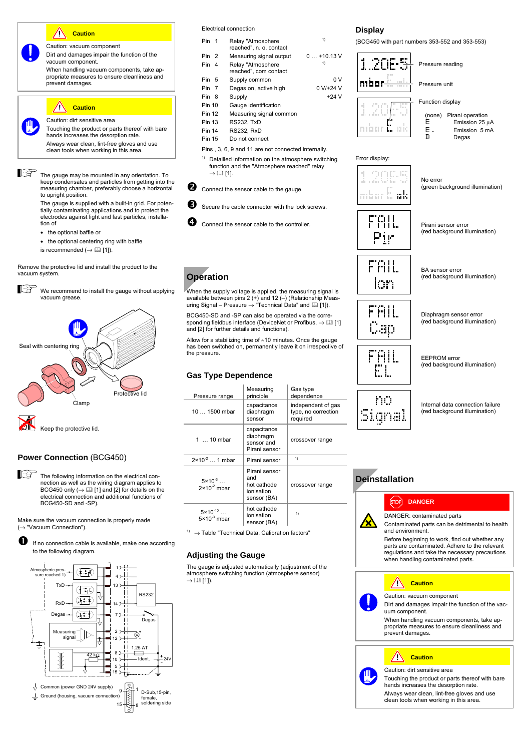### **Caution**  $\sqrt{N}$

Caution: vacuum component Dirt and damages impair the function of the vacuum component.

When handling vacuum components, take appropriate measures to ensure cleanliness and prevent damages.

### **Caution**  $\sqrt{N}$

Caution: dirt sensitive area

Touching the product or parts thereof with bare hands increases the desorption rate. Always wear clean, lint-free gloves and use clean tools when working in this area.

The gauge may be mounted in any orientation. To keep condensates and particles from getting into the measuring chamber, preferably choose a horizontal to upright position.

> The gauge is supplied with a built-in grid. For poten-tially contaminating applications and to protect the electrodes against light and fast particles, installation of

- the optional baffle or
- the optional centering ring with baffle
- is recommended  $(\rightarrow \Box$  [1]).

Remove the protective lid and install the product to the vacuum system.

哈 We recommend to install the gauge without applying vacuum grease.



### **Power Connection** (BCG450)



Make sure the vacuum connection is properly made (→ "Vacuum Connection").





### Electrical connection

| Pin 1         |                | Relay "Atmosphere<br>reached", n. o. contact | 1)          |
|---------------|----------------|----------------------------------------------|-------------|
| Pin           | $\overline{2}$ | Measuring signal output                      | $0+10.13$ V |
| <b>Pin</b>    | 4              | Relay "Atmosphere<br>reached", com contact   | 1)          |
| Pin           | 5              | Supply common                                | 0 V         |
| Pin 7         |                | Degas on, active high                        | $0 V/+24 V$ |
| Pin 8         |                | Supply                                       | $+24V$      |
| Pin 10        |                | Gauge identification                         |             |
| <b>Pin 12</b> |                | Measuring signal common                      |             |
| Pin 13        |                | <b>RS232, TxD</b>                            |             |
|               |                |                                              |             |

- Pin 14 RS232, RxD
- Pin 15 Do not connect
- Pins , 3, 6, 9 and 11 are not connected internally.
- <sup>1)</sup> Detailled information on the atmosphere switching function and the "Atmosphere reached" relay  $\rightarrow \Box$  [1].
- Connect the sensor cable to the gauge.
- $\bullet$  Secure the cable connector with the lock screws.
- Connect the sensor cable to the controller

# **Operation**

When the supply voltage is applied, the measuring signal is available between pins 2 (+) and 12 (–) (Relationship Measuring Signal – Pressure  $\rightarrow$  "Technical Data" and  $\Box$  [1]).

BCG450-SD and -SP can also be operated via the corresponding fieldbus interface (DeviceNet or Profibus,  $\rightarrow \boxplus$  [1] and [2] for further details and functions).

Allow for a stabilizing time of ≈10 minutes. Once the gauge has been switched on, permanently leave it on irrespective of the pressure.

### **Gas Type Dependence**

| Pressure range                                 | Measuring<br>principle                                           | Gas type<br>dependence                                |  |  |  |  |  |
|------------------------------------------------|------------------------------------------------------------------|-------------------------------------------------------|--|--|--|--|--|
| $101500$ mbar                                  | capacitance<br>diaphragm<br>sensor                               | independent of gas<br>type, no correction<br>required |  |  |  |  |  |
| 1 $\dots$ 10 mbar                              | capacitance<br>diaphragm<br>sensor and<br>Pirani sensor          | crossover range                                       |  |  |  |  |  |
| $2 \times 10^{-2}$ 1 mbar                      | Pirani sensor                                                    | 1)                                                    |  |  |  |  |  |
| $5 \times 10^{-3}$<br>$2 \times 10^{-2}$ mbar  | Pirani sensor<br>and<br>hot cathode<br>ionisation<br>sensor (BA) | crossover range                                       |  |  |  |  |  |
| $5 \times 10^{-10}$<br>$5 \times 10^{-3}$ mbar | hot cathode<br>ionisation<br>sensor (BA)                         | 1)                                                    |  |  |  |  |  |

 $1)$   $\rightarrow$  Table "Technical Data, Calibration factors"

### **Adjusting the Gauge**

The gauge is adjusted automatically (adjustment of the atmosphere switching function (atmosphere sensor)  $\rightarrow \Box$  [1]).

## **Display**

(BCG450 with part numbers 353-552 and 353-553)





### Error display:



(green background illumination)

No error



Pirani sensor error (red background illumination)



BA sensor error (red background illumination)



Diaphragm sensor error (red background illumination)



EEPROM error (red background illumination)



Internal data connection failure (red background illumination)

## **Deinstallation**

# **DANGER**



Contaminated parts can be detrimental to health and environment.

Before beginning to work, find out whether any parts are contaminated. Adhere to the relevant regulations and take the necessary precautions when handling contaminated parts.



Dirt and damages impair the function of the vacuum component.

When handling vacuum components, take appropriate measures to ensure cleanliness and prevent damages.

# **Caution**

Caution: dirt sensitive area Touching the product or parts thereof with bare hands increases the desorption rate. Always wear clean, lint-free gloves and use clean tools when working in this area.